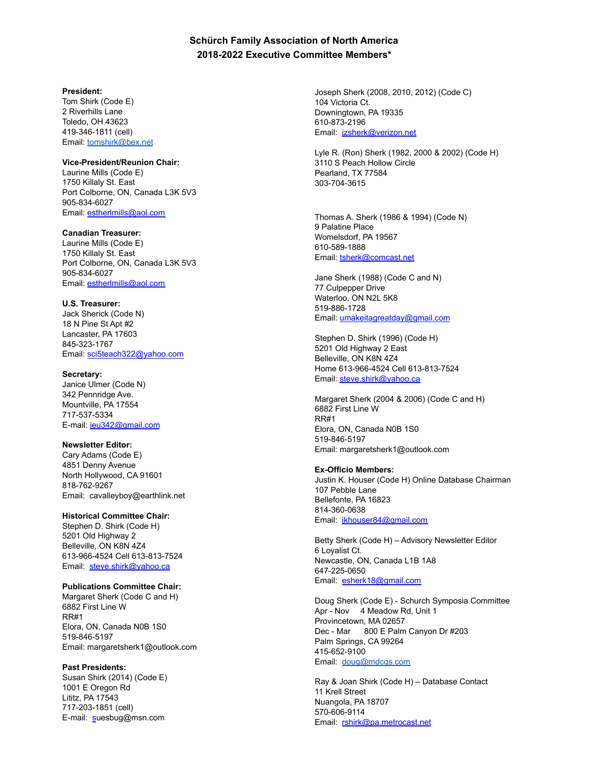# **Schürch Family Association of North America 2018-2022 Executive Committee Members\***

### **President:**

Tom Shirk (Code E) 2 Riverhills Lane Toledo, OH 43623 419-346-1811 (cell) Email: [tomshirk@bex.net](mailto:tomshirk@bex.net)

#### **Vice-President/Reunion Chair:**

Laurine Mills (Code E) 1750 Killaly St. East Port Colborne, ON, Canada L3K 5V3 905-834-6027 Email: [estherlmills@aol.com](mailto:estherlmills@aol.com)

**Canadian Treasurer:** Laurine Mills (Code E) 1750 Killaly St. East

Port Colborne, ON, Canada L3K 5V3 905-834-6027 Email: [estherlmills@aol.com](mailto:estherlmills@aol.com)

## **U.S. Treasurer:**

Jack Sherick (Code N) 18 N Pine St Apt #2 Lancaster, PA 17603 845-323-1767 Email: [sci5teach322@yahoo.com](mailto:sci5teach322@yahoo.com)

## **Secretary:**

Janice Ulmer (Code N) 342 Pennridge Ave. Mountville, PA 17554 717-537-5334 E-mail: [jeu342@gmail.com](mailto:jeu342@gmail.com)

## **Newsletter Editor:**

Cary Adams (Code E) 4851 Denny Avenue North Hollywood, CA 91601 818-762-9267 Email: cavalleyboy@earthlink.net

# **Historical Committee Chair:**

Stephen D. Shirk (Code H) 5201 Old Highway 2 Belleville, ON K8N 4Z4 613-966-4524 Cell 613-813-7524 Email: [steve.shirk@yahoo.ca](mailto:steve.shirk@yahoo.ca)

# **Publications Committee Chair:**

Margaret Sherk (Code C and H) 6882 First Line W RR#1 Elora, ON, Canada N0B 1S0 519-846-5197 Email: margaretsherk1@outlook.com

## **Past Presidents:**

Susan Shirk (2014) (Code E) 1001 E Oregon Rd Lititz, PA 17543 717-203-1851 (cell) E-mail: [s](http://../../../Downloads/SFA%20Exec%20Com%20meetings,%20reports,%20minutes,%20archives%207%20May%202016/Executive%20Committee%20Members/SFA%20Exec%20Com%20meetings,%20reports,%20minutes,%20archives%207%20May%202016/SFA%20Exec%20Com/SFA%20Exec%20Com/SFA%20Exec%20Com/SFA%20Exec%20Com/AppData/Local/Microsoft/Windows/Temporary%20Internet%20Files/Content.Outlook/RSIOMM3T/sshirk@Iandishomes.org)uesbug@msn.com

Joseph Sherk (2008, 2010, 2012) (Code C) 104 Victoria Ct. Downingtown, PA 19335 610-873-2196 Email: [jzsherk@verizon.net](mailto:jzsherk@verizon.net)

Lyle R. (Ron) Sherk (1982, 2000 & 2002) (Code H) 3110 S Peach Hollow Circle Pearland, TX 77584 303-704-3615

Thomas A. Sherk (1986 & 1994) (Code N) 9 Palatine Place Womelsdorf, PA 19567 610-589-1888 Email: [tsherk@comcast.net](http://../../../Downloads/SFA%20Exec%20Com%20meetings,%20reports,%20minutes,%20archives%207%20May%202016/Executive%20Committee%20Members/SFA%20Exec%20Com%20meetings,%20reports,%20minutes,%20archives%207%20May%202016/SFA%20Exec%20Com/SFA%20Exec%20Com/SFA%20Exec%20Com/SFA%20Exec%20Com/AppData/Local/Microsoft/Windows/Temporary%20Internet%20Files/Content.Outlook/RSIOMM3T/104172.3022@compuserve.com)

Jane Sherk (1988) (Code C and N) 77 Culpepper Drive Waterloo, ON N2L 5K8 519-886-1728 Email: [umakeitagreatday@gmail.com](mailto:umakeitagreatday@gmail.com)

Stephen D. Shirk (1996) (Code H) 5201 Old Highway 2 East Belleville, ON K8N 4Z4 Home 613-966-4524 Cell 613-813-7524 Email: [steve.shirk@yahoo.ca](mailto:steve.shirk@yahoo.ca)

Margaret Sherk (2004 & 2006) (Code C and H) 6882 First Line W RR#1 Elora, ON, Canada N0B 1S0 519-846-5197 Email: margaretsherk1@outlook.com

### **Ex-Officio Members:**

Justin K. Houser (Code H) Online Database Chairman 107 Pebble Lane Bellefonte, PA 16823 814-360-0638 Email: [jkhouser84@gmail.com](mailto:jkhouser84@gmail.com)

Betty Sherk (Code H) – Advisory Newsletter Editor 6 Loyalist Ct. Newcastle, ON, Canada L1B 1A8 647-225-0650 Email: esherk18@gmail.com

Doug Sherk (Code E) - Schurch Symposia Committee Apr - Nov 4 Meadow Rd, Unit 1 Provincetown, MA 02657 Dec - Mar 800 E Palm Canyon Dr #203 Palm Springs, CA 99264 415-652-9100 Email: [doug@mdcgs.com](mailto:doug@mdcgs.com)

Ray & Joan Shirk (Code H) – Database Contact 11 Krell Street Nuangola, PA 18707 570-606-9114 Email: [rshirk@pa.metrocast.net](http://../../../Downloads/SFA%20Exec%20Com%20meetings,%20reports,%20minutes,%20archives%207%20May%202016/Executive%20Committee%20Members/SFA%20Exec%20Com%20meetings,%20reports,%20minutes,%20archives%207%20May%202016/SFA%20Exec%20Com/SFA%20Exec%20Com/SFA%20Exec%20Com/SFA%20Exec%20Com/AppData/Local/Microsoft/Windows/Temporary%20Internet%20Files/Content.Outlook/RSIOMM3T/rshirk@pa.metrocast.net)